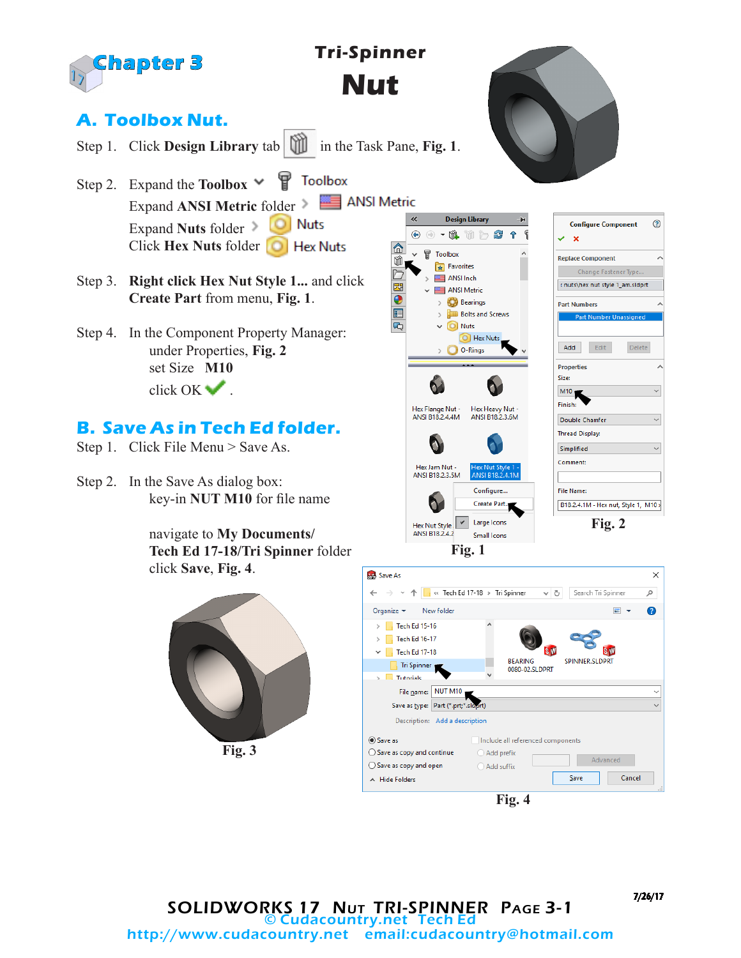

7/26/17